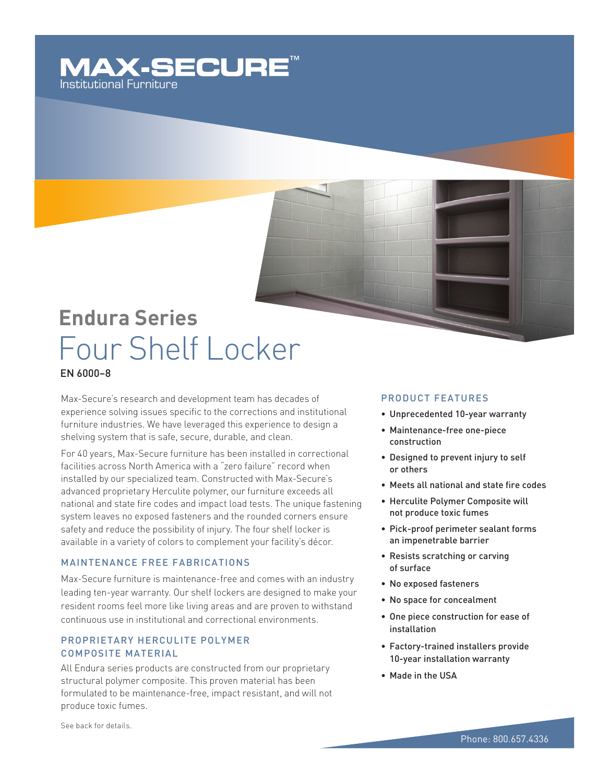### **MAX-SECURE** Institutional Furniture

## **Endura Series** Four Shelf Locker

### EN 6000–8

Max-Secure's research and development team has decades of experience solving issues specific to the corrections and institutional furniture industries. We have leveraged this experience to design a shelving system that is safe, secure, durable, and clean.

For 40 years, Max-Secure furniture has been installed in correctional facilities across North America with a "zero failure" record when installed by our specialized team. Constructed with Max-Secure's advanced proprietary Herculite polymer, our furniture exceeds all national and state fire codes and impact load tests. The unique fastening system leaves no exposed fasteners and the rounded corners ensure safety and reduce the possibility of injury. The four shelf locker is available in a variety of colors to complement your facility's décor.

### Maintenance Free Fabrications

Max-Secure furniture is maintenance-free and comes with an industry leading ten-year warranty. Our shelf lockers are designed to make your resident rooms feel more like living areas and are proven to withstand continuous use in institutional and correctional environments.

### PROPRIETARY HERCULITE POLYMER Composite Material

All Endura series products are constructed from our proprietary structural polymer composite. This proven material has been formulated to be maintenance-free, impact resistant, and will not produce toxic fumes.

### Product Features

- • Unprecedented 10-year warranty
- • Maintenance-free one-piece construction
- • Designed to prevent injury to self or others
- Meets all national and state fire codes
- • Herculite Polymer Composite will not produce toxic fumes
- • Pick-proof perimeter sealant forms an impenetrable barrier
- • Resists scratching or carving of surface
- • No exposed fasteners
- • No space for concealment
- One piece construction for ease of installation
- • Factory-trained installers provide 10-year installation warranty
- • Made in the USA

See back for details.